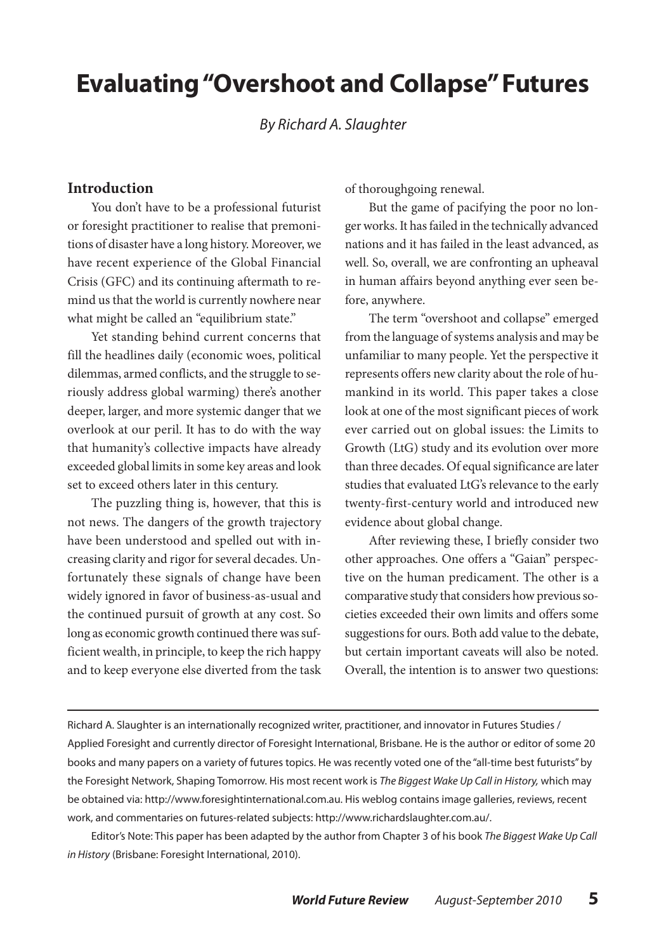# **Evaluating "Overshoot and Collapse" Futures**

*By Richard A. Slaughter*

#### **Introduction**

You don't have to be a professional futurist or foresight practitioner to realise that premonitions of disaster have a long history. Moreover, we have recent experience of the Global Financial Crisis (GFC) and its continuing aftermath to remind us that the world is currently nowhere near what might be called an "equilibrium state."

Yet standing behind current concerns that fill the headlines daily (economic woes, political dilemmas, armed conflicts, and the struggle to seriously address global warming) there's another deeper, larger, and more systemic danger that we overlook at our peril. It has to do with the way that humanity's collective impacts have already exceeded global limits in some key areas and look set to exceed others later in this century.

The puzzling thing is, however, that this is not news. The dangers of the growth trajectory have been understood and spelled out with increasing clarity and rigor for several decades. Unfortunately these signals of change have been widely ignored in favor of business-as-usual and the continued pursuit of growth at any cost. So long as economic growth continued there was sufficient wealth, in principle, to keep the rich happy and to keep everyone else diverted from the task

of thoroughgoing renewal.

But the game of pacifying the poor no longer works. It has failed in the technically advanced nations and it has failed in the least advanced, as well. So, overall, we are confronting an upheaval in human affairs beyond anything ever seen before, anywhere.

The term "overshoot and collapse" emerged from the language of systems analysis and may be unfamiliar to many people. Yet the perspective it represents offers new clarity about the role of humankind in its world. This paper takes a close look at one of the most significant pieces of work ever carried out on global issues: the Limits to Growth (LtG) study and its evolution over more than three decades. Of equal significance are later studies that evaluated LtG's relevance to the early twenty-first-century world and introduced new evidence about global change.

After reviewing these, I briefly consider two other approaches. One offers a "Gaian" perspective on the human predicament. The other is a comparative study that considers how previous societies exceeded their own limits and offers some suggestions for ours. Both add value to the debate, but certain important caveats will also be noted. Overall, the intention is to answer two questions:

Richard A. Slaughter is an internationally recognized writer, practitioner, and innovator in Futures Studies / Applied Foresight and currently director of Foresight International, Brisbane. He is the author or editor of some 20 books and many papers on a variety of futures topics. He was recently voted one of the "all-time best futurists" by the Foresight Network, Shaping Tomorrow. His most recent work is *The Biggest Wake Up Call in History,* which may be obtained via: http://www.foresightinternational.com.au. His weblog contains image galleries, reviews, recent work, and commentaries on futures-related subjects: http://www.richardslaughter.com.au/.

Editor's Note: This paper has been adapted by the author from Chapter 3 of his book *The Biggest Wake Up Call in History* (Brisbane: Foresight International, 2010).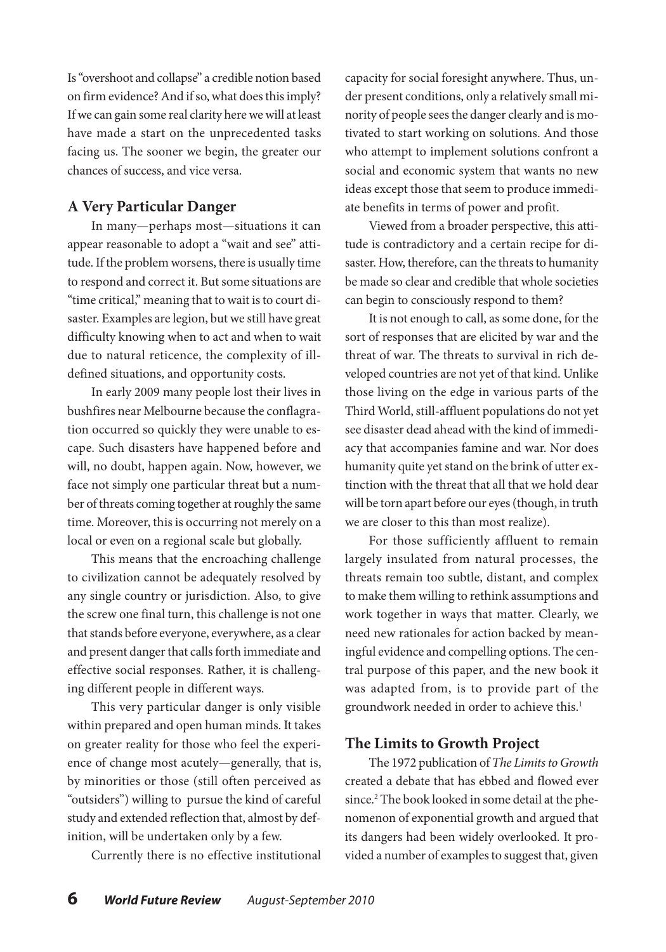Is "overshoot and collapse" a credible notion based on firm evidence? And if so, what does this imply? If we can gain some real clarity here we will at least have made a start on the unprecedented tasks facing us. The sooner we begin, the greater our chances of success, and vice versa.

## **A Very Particular Danger**

In many—perhaps most—situations it can appear reasonable to adopt a "wait and see" attitude. If the problem worsens, there is usually time to respond and correct it. But some situations are "time critical," meaning that to wait is to court disaster. Examples are legion, but we still have great difficulty knowing when to act and when to wait due to natural reticence, the complexity of illdefined situations, and opportunity costs.

In early 2009 many people lost their lives in bushfires near Melbourne because the conflagration occurred so quickly they were unable to escape. Such disasters have happened before and will, no doubt, happen again. Now, however, we face not simply one particular threat but a number of threats coming together at roughly the same time. Moreover, this is occurring not merely on a local or even on a regional scale but globally.

This means that the encroaching challenge to civilization cannot be adequately resolved by any single country or jurisdiction. Also, to give the screw one final turn, this challenge is not one that stands before everyone, everywhere, as a clear and present danger that calls forth immediate and effective social responses. Rather, it is challenging different people in different ways.

This very particular danger is only visible within prepared and open human minds. It takes on greater reality for those who feel the experience of change most acutely—generally, that is, by minorities or those (still often perceived as "outsiders") willing to pursue the kind of careful study and extended reflection that, almost by definition, will be undertaken only by a few.

Currently there is no effective institutional

capacity for social foresight anywhere. Thus, under present conditions, only a relatively small minority of people sees the danger clearly and is motivated to start working on solutions. And those who attempt to implement solutions confront a social and economic system that wants no new ideas except those that seem to produce immediate benefits in terms of power and profit.

Viewed from a broader perspective, this attitude is contradictory and a certain recipe for disaster. How, therefore, can the threats to humanity be made so clear and credible that whole societies can begin to consciously respond to them?

It is not enough to call, as some done, for the sort of responses that are elicited by war and the threat of war. The threats to survival in rich developed countries are not yet of that kind. Unlike those living on the edge in various parts of the Third World, still-affluent populations do not yet see disaster dead ahead with the kind of immediacy that accompanies famine and war. Nor does humanity quite yet stand on the brink of utter extinction with the threat that all that we hold dear will be torn apart before our eyes (though, in truth we are closer to this than most realize).

For those sufficiently affluent to remain largely insulated from natural processes, the threats remain too subtle, distant, and complex to make them willing to rethink assumptions and work together in ways that matter. Clearly, we need new rationales for action backed by meaningful evidence and compelling options. The central purpose of this paper, and the new book it was adapted from, is to provide part of the groundwork needed in order to achieve this.<sup>1</sup>

### **The Limits to Growth Project**

The 1972 publication of *The Limits to Growth* created a debate that has ebbed and flowed ever since.2 The book looked in some detail at the phenomenon of exponential growth and argued that its dangers had been widely overlooked. It provided a number of examples to suggest that, given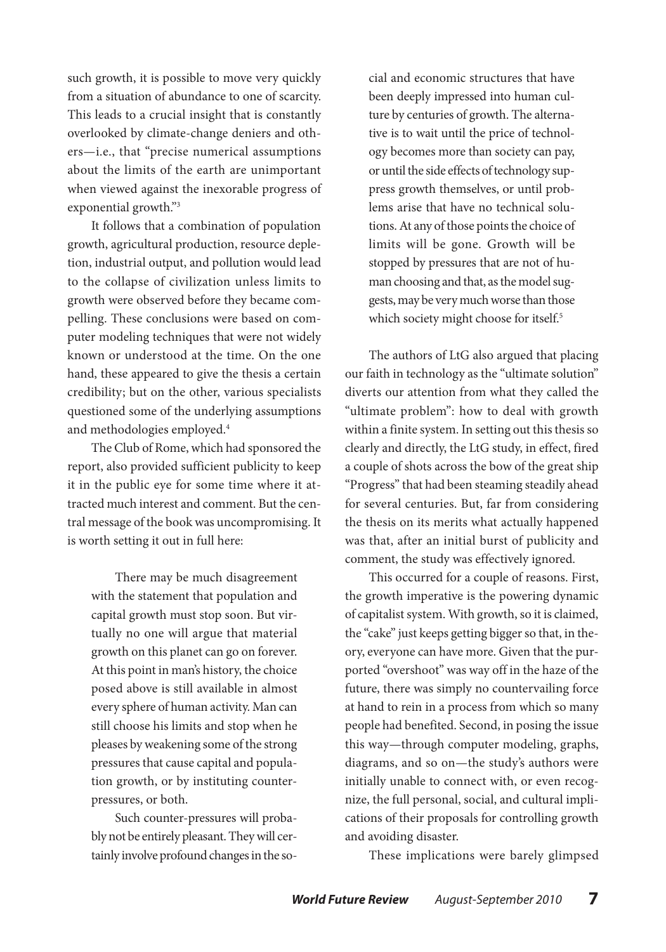such growth, it is possible to move very quickly from a situation of abundance to one of scarcity. This leads to a crucial insight that is constantly overlooked by climate-change deniers and others—i.e., that "precise numerical assumptions about the limits of the earth are unimportant when viewed against the inexorable progress of exponential growth."3

It follows that a combination of population growth, agricultural production, resource depletion, industrial output, and pollution would lead to the collapse of civilization unless limits to growth were observed before they became compelling. These conclusions were based on computer modeling techniques that were not widely known or understood at the time. On the one hand, these appeared to give the thesis a certain credibility; but on the other, various specialists questioned some of the underlying assumptions and methodologies employed.4

The Club of Rome, which had sponsored the report, also provided sufficient publicity to keep it in the public eye for some time where it attracted much interest and comment. But the central message of the book was uncompromising. It is worth setting it out in full here:

There may be much disagreement with the statement that population and capital growth must stop soon. But virtually no one will argue that material growth on this planet can go on forever. At this point in man's history, the choice posed above is still available in almost every sphere of human activity. Man can still choose his limits and stop when he pleases by weakening some of the strong pressures that cause capital and population growth, or by instituting counterpressures, or both.

Such counter-pressures will probably not be entirely pleasant. They will certainly involve profound changes in the social and economic structures that have been deeply impressed into human culture by centuries of growth. The alternative is to wait until the price of technology becomes more than society can pay, or until the side effects of technology suppress growth themselves, or until problems arise that have no technical solutions. At any of those points the choice of limits will be gone. Growth will be stopped by pressures that are not of human choosing and that, as the model suggests, may be very much worse than those which society might choose for itself.<sup>5</sup>

The authors of LtG also argued that placing our faith in technology as the "ultimate solution" diverts our attention from what they called the "ultimate problem": how to deal with growth within a finite system. In setting out this thesis so clearly and directly, the LtG study, in effect, fired a couple of shots across the bow of the great ship "Progress" that had been steaming steadily ahead for several centuries. But, far from considering the thesis on its merits what actually happened was that, after an initial burst of publicity and comment, the study was effectively ignored.

This occurred for a couple of reasons. First, the growth imperative is the powering dynamic of capitalist system. With growth, so it is claimed, the "cake" just keeps getting bigger so that, in theory, everyone can have more. Given that the purported "overshoot" was way off in the haze of the future, there was simply no countervailing force at hand to rein in a process from which so many people had benefited. Second, in posing the issue this way—through computer modeling, graphs, diagrams, and so on—the study's authors were initially unable to connect with, or even recognize, the full personal, social, and cultural implications of their proposals for controlling growth and avoiding disaster.

These implications were barely glimpsed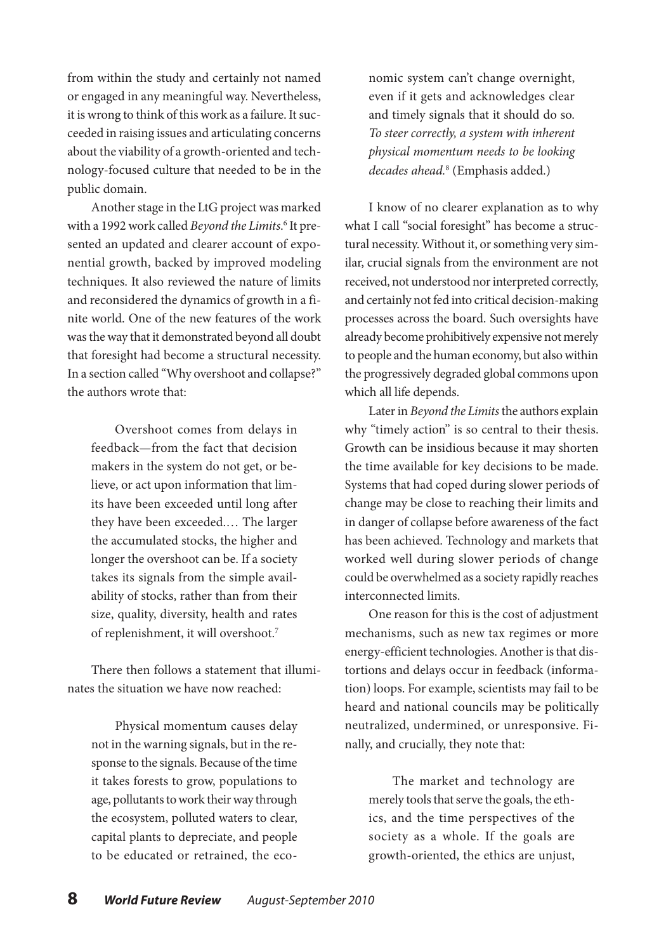from within the study and certainly not named or engaged in any meaningful way. Nevertheless, it is wrong to think of this work as a failure. It succeeded in raising issues and articulating concerns about the viability of a growth-oriented and technology-focused culture that needed to be in the public domain.

Another stage in the LtG project was marked with a 1992 work called *Beyond the Limits*.<sup>6</sup> It presented an updated and clearer account of exponential growth, backed by improved modeling techniques. It also reviewed the nature of limits and reconsidered the dynamics of growth in a finite world. One of the new features of the work was the way that it demonstrated beyond all doubt that foresight had become a structural necessity. In a section called "Why overshoot and collapse?" the authors wrote that:

Overshoot comes from delays in feedback—from the fact that decision makers in the system do not get, or believe, or act upon information that limits have been exceeded until long after they have been exceeded.… The larger the accumulated stocks, the higher and longer the overshoot can be. If a society takes its signals from the simple availability of stocks, rather than from their size, quality, diversity, health and rates of replenishment, it will overshoot.7

There then follows a statement that illuminates the situation we have now reached:

Physical momentum causes delay not in the warning signals, but in the response to the signals. Because of the time it takes forests to grow, populations to age, pollutants to work their way through the ecosystem, polluted waters to clear, capital plants to depreciate, and people to be educated or retrained, the economic system can't change overnight, even if it gets and acknowledges clear and timely signals that it should do so. *To steer correctly, a system with inherent physical momentum needs to be looking decades ahead.*<sup>8</sup> (Emphasis added.)

I know of no clearer explanation as to why what I call "social foresight" has become a structural necessity. Without it, or something very similar, crucial signals from the environment are not received, not understood nor interpreted correctly, and certainly not fed into critical decision-making processes across the board. Such oversights have already become prohibitively expensive not merely to people and the human economy, but also within the progressively degraded global commons upon which all life depends.

Later in *Beyond the Limits* the authors explain why "timely action" is so central to their thesis. Growth can be insidious because it may shorten the time available for key decisions to be made. Systems that had coped during slower periods of change may be close to reaching their limits and in danger of collapse before awareness of the fact has been achieved. Technology and markets that worked well during slower periods of change could be overwhelmed as a society rapidly reaches interconnected limits.

One reason for this is the cost of adjustment mechanisms, such as new tax regimes or more energy-efficient technologies. Another is that distortions and delays occur in feedback (information) loops. For example, scientists may fail to be heard and national councils may be politically neutralized, undermined, or unresponsive. Finally, and crucially, they note that:

The market and technology are merely tools that serve the goals, the ethics, and the time perspectives of the society as a whole. If the goals are growth-oriented, the ethics are unjust,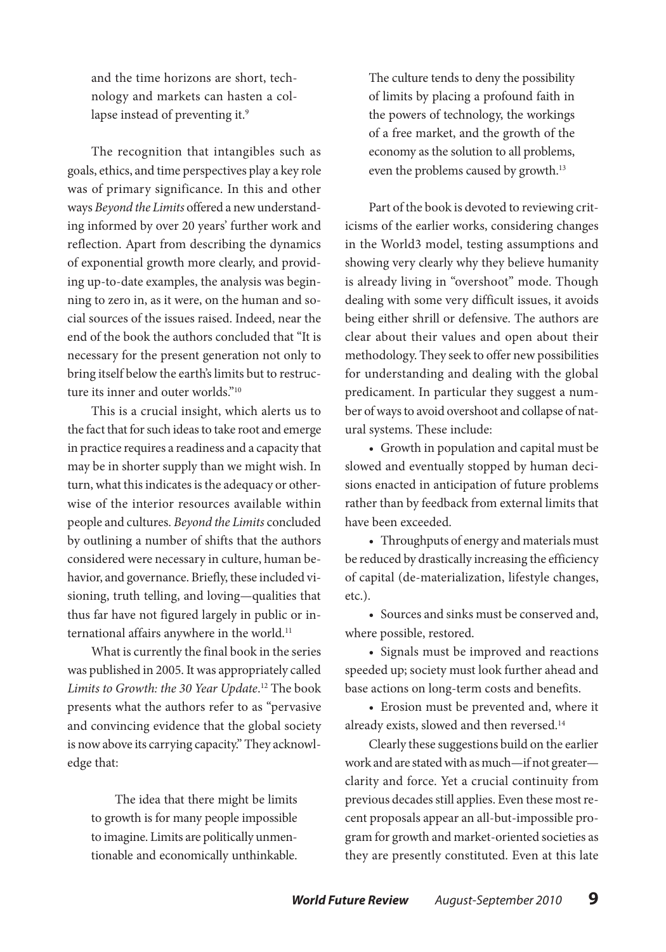and the time horizons are short, technology and markets can hasten a collapse instead of preventing it.<sup>9</sup>

The recognition that intangibles such as goals, ethics, and time perspectives play a key role was of primary significance. In this and other ways *Beyond the Limits* offered a new understanding informed by over 20 years' further work and reflection. Apart from describing the dynamics of exponential growth more clearly, and providing up-to-date examples, the analysis was beginning to zero in, as it were, on the human and social sources of the issues raised. Indeed, near the end of the book the authors concluded that "It is necessary for the present generation not only to bring itself below the earth's limits but to restructure its inner and outer worlds."10

This is a crucial insight, which alerts us to the fact that for such ideas to take root and emerge in practice requires a readiness and a capacity that may be in shorter supply than we might wish. In turn, what this indicates is the adequacy or otherwise of the interior resources available within people and cultures. *Beyond the Limits* concluded by outlining a number of shifts that the authors considered were necessary in culture, human behavior, and governance. Briefly, these included visioning, truth telling, and loving—qualities that thus far have not figured largely in public or international affairs anywhere in the world.<sup>11</sup>

What is currently the final book in the series was published in 2005. It was appropriately called *Limits to Growth: the 30 Year Update*. 12 The book presents what the authors refer to as "pervasive and convincing evidence that the global society is now above its carrying capacity." They acknowledge that:

The idea that there might be limits to growth is for many people impossible to imagine. Limits are politically unmentionable and economically unthinkable. The culture tends to deny the possibility of limits by placing a profound faith in the powers of technology, the workings of a free market, and the growth of the economy as the solution to all problems, even the problems caused by growth.<sup>13</sup>

Part of the book is devoted to reviewing criticisms of the earlier works, considering changes in the World3 model, testing assumptions and showing very clearly why they believe humanity is already living in "overshoot" mode. Though dealing with some very difficult issues, it avoids being either shrill or defensive. The authors are clear about their values and open about their methodology. They seek to offer new possibilities for understanding and dealing with the global predicament. In particular they suggest a number of ways to avoid overshoot and collapse of natural systems. These include:

• Growth in population and capital must be slowed and eventually stopped by human decisions enacted in anticipation of future problems rather than by feedback from external limits that have been exceeded.

• Throughputs of energy and materials must be reduced by drastically increasing the efficiency of capital (de-materialization, lifestyle changes, etc.).

• Sources and sinks must be conserved and, where possible, restored.

• Signals must be improved and reactions speeded up; society must look further ahead and base actions on long-term costs and benefits.

• Erosion must be prevented and, where it already exists, slowed and then reversed.14

Clearly these suggestions build on the earlier work and are stated with as much—if not greater clarity and force. Yet a crucial continuity from previous decades still applies. Even these most recent proposals appear an all-but-impossible program for growth and market-oriented societies as they are presently constituted. Even at this late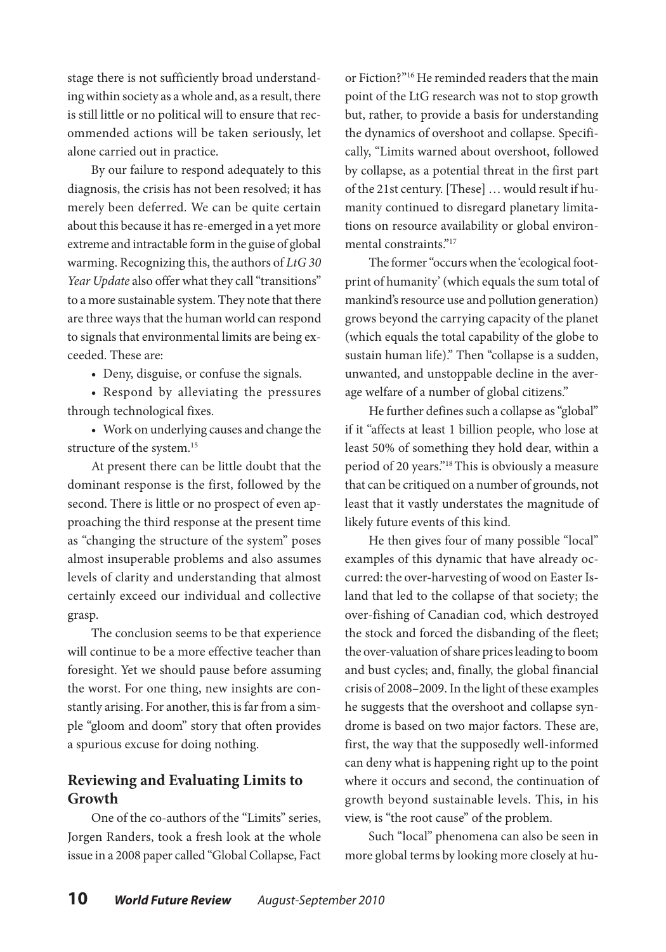stage there is not sufficiently broad understanding within society as a whole and, as a result, there is still little or no political will to ensure that recommended actions will be taken seriously, let alone carried out in practice.

By our failure to respond adequately to this diagnosis, the crisis has not been resolved; it has merely been deferred. We can be quite certain about this because it has re-emerged in a yet more extreme and intractable form in the guise of global warming. Recognizing this, the authors of *LtG 30*  Year Update also offer what they call "transitions" to a more sustainable system. They note that there are three ways that the human world can respond to signals that environmental limits are being exceeded. These are:

• Deny, disguise, or confuse the signals.

• Respond by alleviating the pressures through technological fixes.

• Work on underlying causes and change the structure of the system.<sup>15</sup>

At present there can be little doubt that the dominant response is the first, followed by the second. There is little or no prospect of even approaching the third response at the present time as "changing the structure of the system" poses almost insuperable problems and also assumes levels of clarity and understanding that almost certainly exceed our individual and collective grasp.

The conclusion seems to be that experience will continue to be a more effective teacher than foresight. Yet we should pause before assuming the worst. For one thing, new insights are constantly arising. For another, this is far from a simple "gloom and doom" story that often provides a spurious excuse for doing nothing.

## **Reviewing and Evaluating Limits to Growth**

One of the co-authors of the "Limits" series, Jorgen Randers, took a fresh look at the whole issue in a 2008 paper called "Global Collapse, Fact or Fiction?"16 He reminded readers that the main point of the LtG research was not to stop growth but, rather, to provide a basis for understanding the dynamics of overshoot and collapse. Specifically, "Limits warned about overshoot, followed by collapse, as a potential threat in the first part of the 21st century. [These] … would result if humanity continued to disregard planetary limitations on resource availability or global environmental constraints."<sup>17</sup>

The former "occurs when the 'ecological footprint of humanity' (which equals the sum total of mankind's resource use and pollution generation) grows beyond the carrying capacity of the planet (which equals the total capability of the globe to sustain human life)." Then "collapse is a sudden, unwanted, and unstoppable decline in the average welfare of a number of global citizens."

He further defines such a collapse as "global" if it "affects at least 1 billion people, who lose at least 50% of something they hold dear, within a period of 20 years."18 This is obviously a measure that can be critiqued on a number of grounds, not least that it vastly understates the magnitude of likely future events of this kind.

He then gives four of many possible "local" examples of this dynamic that have already occurred: the over-harvesting of wood on Easter Island that led to the collapse of that society; the over-fishing of Canadian cod, which destroyed the stock and forced the disbanding of the fleet; the over-valuation of share prices leading to boom and bust cycles; and, finally, the global financial crisis of 2008–2009. In the light of these examples he suggests that the overshoot and collapse syndrome is based on two major factors. These are, first, the way that the supposedly well-informed can deny what is happening right up to the point where it occurs and second, the continuation of growth beyond sustainable levels. This, in his view, is "the root cause" of the problem.

Such "local" phenomena can also be seen in more global terms by looking more closely at hu-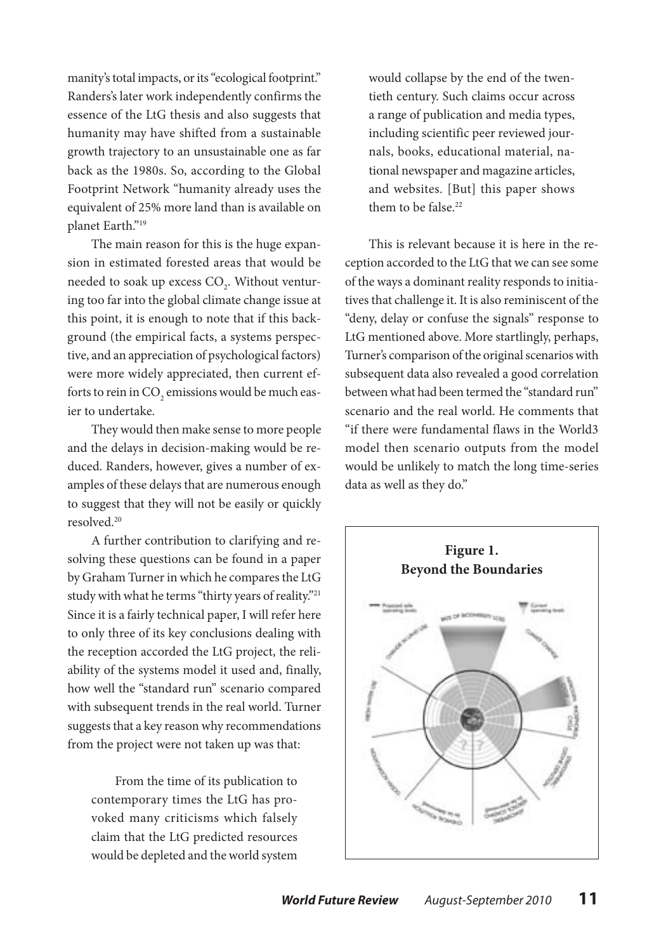manity's total impacts, or its "ecological footprint." Randers's later work independently confirms the essence of the LtG thesis and also suggests that humanity may have shifted from a sustainable growth trajectory to an unsustainable one as far back as the 1980s. So, according to the Global Footprint Network "humanity already uses the equivalent of 25% more land than is available on planet Earth."19

The main reason for this is the huge expansion in estimated forested areas that would be needed to soak up excess  $\mathrm{CO}_2^{\vphantom{\dagger}}.$  Without venturing too far into the global climate change issue at this point, it is enough to note that if this background (the empirical facts, a systems perspective, and an appreciation of psychological factors) were more widely appreciated, then current efforts to rein in  $\mathrm{CO}_2$  emissions would be much easier to undertake.

They would then make sense to more people and the delays in decision-making would be reduced. Randers, however, gives a number of examples of these delays that are numerous enough to suggest that they will not be easily or quickly resolved.20

A further contribution to clarifying and resolving these questions can be found in a paper by Graham Turner in which he compares the LtG study with what he terms "thirty years of reality."<sup>21</sup> Since it is a fairly technical paper, I will refer here to only three of its key conclusions dealing with the reception accorded the LtG project, the reliability of the systems model it used and, finally, how well the "standard run" scenario compared with subsequent trends in the real world. Turner suggests that a key reason why recommendations from the project were not taken up was that:

From the time of its publication to contemporary times the LtG has provoked many criticisms which falsely claim that the LtG predicted resources would be depleted and the world system

would collapse by the end of the twentieth century. Such claims occur across a range of publication and media types, including scientific peer reviewed journals, books, educational material, national newspaper and magazine articles, and websites. [But] this paper shows them to be false  $22$ 

This is relevant because it is here in the reception accorded to the LtG that we can see some of the ways a dominant reality responds to initiatives that challenge it. It is also reminiscent of the "deny, delay or confuse the signals" response to LtG mentioned above. More startlingly, perhaps, Turner's comparison of the original scenarios with subsequent data also revealed a good correlation between what had been termed the "standard run" scenario and the real world. He comments that "if there were fundamental flaws in the World3 model then scenario outputs from the model would be unlikely to match the long time-series data as well as they do."

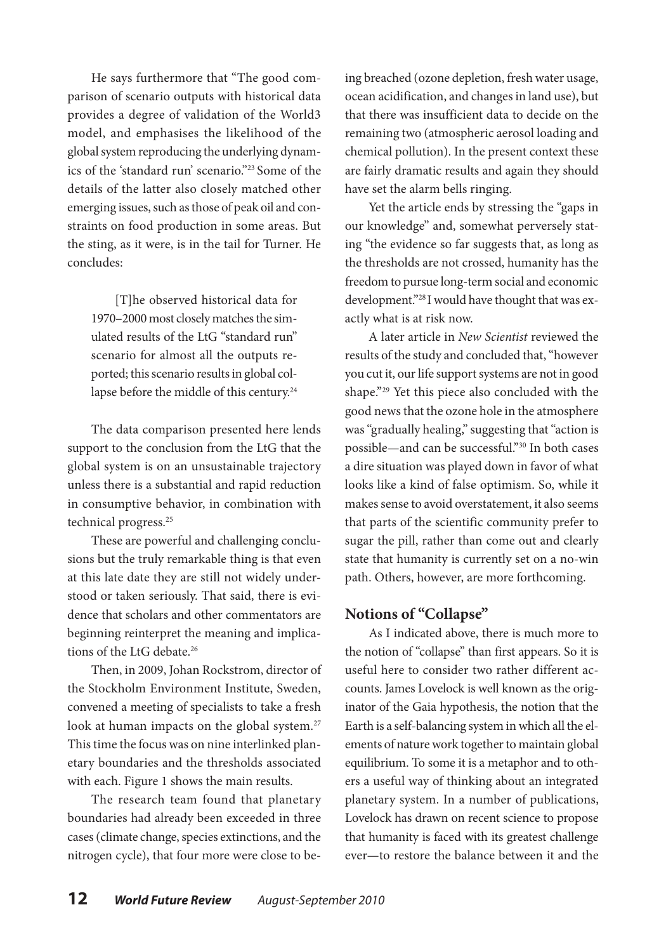He says furthermore that "The good comparison of scenario outputs with historical data provides a degree of validation of the World3 model, and emphasises the likelihood of the global system reproducing the underlying dynamics of the 'standard run' scenario."23 Some of the details of the latter also closely matched other emerging issues, such as those of peak oil and constraints on food production in some areas. But the sting, as it were, is in the tail for Turner. He concludes:

[T]he observed historical data for 1970–2000 most closely matches the simulated results of the LtG "standard run" scenario for almost all the outputs reported; this scenario results in global collapse before the middle of this century.<sup>24</sup>

The data comparison presented here lends support to the conclusion from the LtG that the global system is on an unsustainable trajectory unless there is a substantial and rapid reduction in consumptive behavior, in combination with technical progress.25

These are powerful and challenging conclusions but the truly remarkable thing is that even at this late date they are still not widely understood or taken seriously. That said, there is evidence that scholars and other commentators are beginning reinterpret the meaning and implications of the LtG debate.26

Then, in 2009, Johan Rockstrom, director of the Stockholm Environment Institute, Sweden, convened a meeting of specialists to take a fresh look at human impacts on the global system.<sup>27</sup> This time the focus was on nine interlinked planetary boundaries and the thresholds associated with each. Figure 1 shows the main results.

The research team found that planetary boundaries had already been exceeded in three cases (climate change, species extinctions, and the nitrogen cycle), that four more were close to be-

ing breached (ozone depletion, fresh water usage, ocean acidification, and changes in land use), but that there was insufficient data to decide on the remaining two (atmospheric aerosol loading and chemical pollution). In the present context these are fairly dramatic results and again they should have set the alarm bells ringing.

Yet the article ends by stressing the "gaps in our knowledge" and, somewhat perversely stating "the evidence so far suggests that, as long as the thresholds are not crossed, humanity has the freedom to pursue long-term social and economic development."28 I would have thought that was exactly what is at risk now.

A later article in *New Scientist* reviewed the results of the study and concluded that, "however you cut it, our life support systems are not in good shape."29 Yet this piece also concluded with the good news that the ozone hole in the atmosphere was "gradually healing," suggesting that "action is possible—and can be successful."30 In both cases a dire situation was played down in favor of what looks like a kind of false optimism. So, while it makes sense to avoid overstatement, it also seems that parts of the scientific community prefer to sugar the pill, rather than come out and clearly state that humanity is currently set on a no-win path. Others, however, are more forthcoming.

## **Notions of "Collapse"**

As I indicated above, there is much more to the notion of "collapse" than first appears. So it is useful here to consider two rather different accounts. James Lovelock is well known as the originator of the Gaia hypothesis, the notion that the Earth is a self-balancing system in which all the elements of nature work together to maintain global equilibrium. To some it is a metaphor and to others a useful way of thinking about an integrated planetary system. In a number of publications, Lovelock has drawn on recent science to propose that humanity is faced with its greatest challenge ever—to restore the balance between it and the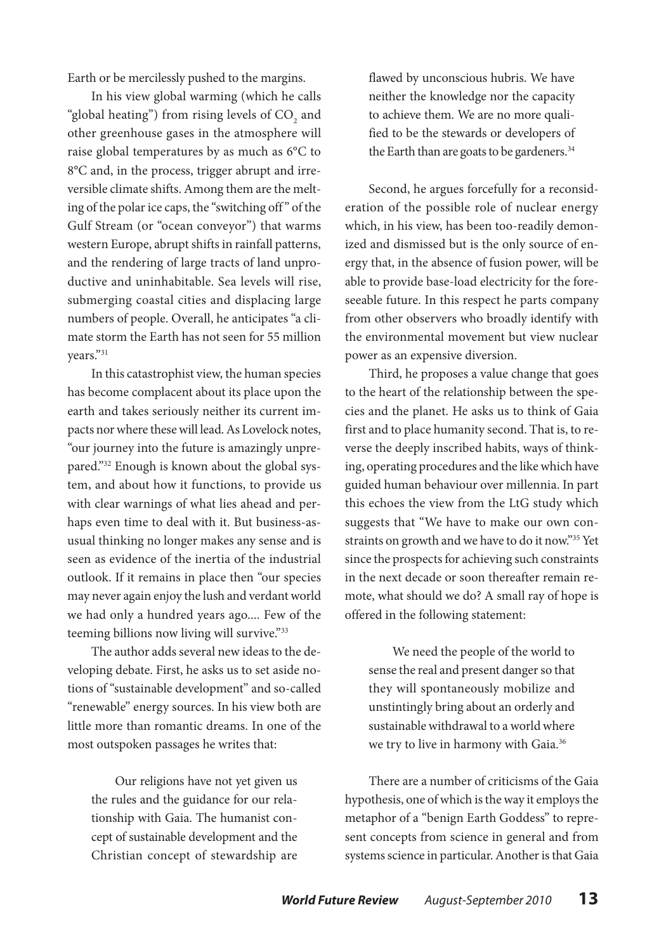Earth or be mercilessly pushed to the margins.

In his view global warming (which he calls "global heating") from rising levels of  $\mathrm{CO}_2^{\phantom{\dag}}$  and other greenhouse gases in the atmosphere will raise global temperatures by as much as 6°C to 8°C and, in the process, trigger abrupt and irreversible climate shifts. Among them are the melting of the polar ice caps, the "switching off " of the Gulf Stream (or "ocean conveyor") that warms western Europe, abrupt shifts in rainfall patterns, and the rendering of large tracts of land unproductive and uninhabitable. Sea levels will rise, submerging coastal cities and displacing large numbers of people. Overall, he anticipates "a climate storm the Earth has not seen for 55 million years."31

In this catastrophist view, the human species has become complacent about its place upon the earth and takes seriously neither its current impacts nor where these will lead. As Lovelock notes, "our journey into the future is amazingly unprepared."<sup>32</sup> Enough is known about the global system, and about how it functions, to provide us with clear warnings of what lies ahead and perhaps even time to deal with it. But business-asusual thinking no longer makes any sense and is seen as evidence of the inertia of the industrial outlook. If it remains in place then "our species may never again enjoy the lush and verdant world we had only a hundred years ago.... Few of the teeming billions now living will survive."33

The author adds several new ideas to the developing debate. First, he asks us to set aside notions of "sustainable development" and so-called "renewable" energy sources. In his view both are little more than romantic dreams. In one of the most outspoken passages he writes that:

Our religions have not yet given us the rules and the guidance for our relationship with Gaia. The humanist concept of sustainable development and the Christian concept of stewardship are

flawed by unconscious hubris. We have neither the knowledge nor the capacity to achieve them. We are no more qualified to be the stewards or developers of the Earth than are goats to be gardeners.<sup>34</sup>

Second, he argues forcefully for a reconsideration of the possible role of nuclear energy which, in his view, has been too-readily demonized and dismissed but is the only source of energy that, in the absence of fusion power, will be able to provide base-load electricity for the foreseeable future. In this respect he parts company from other observers who broadly identify with the environmental movement but view nuclear power as an expensive diversion.

Third, he proposes a value change that goes to the heart of the relationship between the species and the planet. He asks us to think of Gaia first and to place humanity second. That is, to reverse the deeply inscribed habits, ways of thinking, operating procedures and the like which have guided human behaviour over millennia. In part this echoes the view from the LtG study which suggests that "We have to make our own constraints on growth and we have to do it now."35 Yet since the prospects for achieving such constraints in the next decade or soon thereafter remain remote, what should we do? A small ray of hope is offered in the following statement:

We need the people of the world to sense the real and present danger so that they will spontaneously mobilize and unstintingly bring about an orderly and sustainable withdrawal to a world where we try to live in harmony with Gaia.<sup>36</sup>

There are a number of criticisms of the Gaia hypothesis, one of which is the way it employs the metaphor of a "benign Earth Goddess" to represent concepts from science in general and from systems science in particular. Another is that Gaia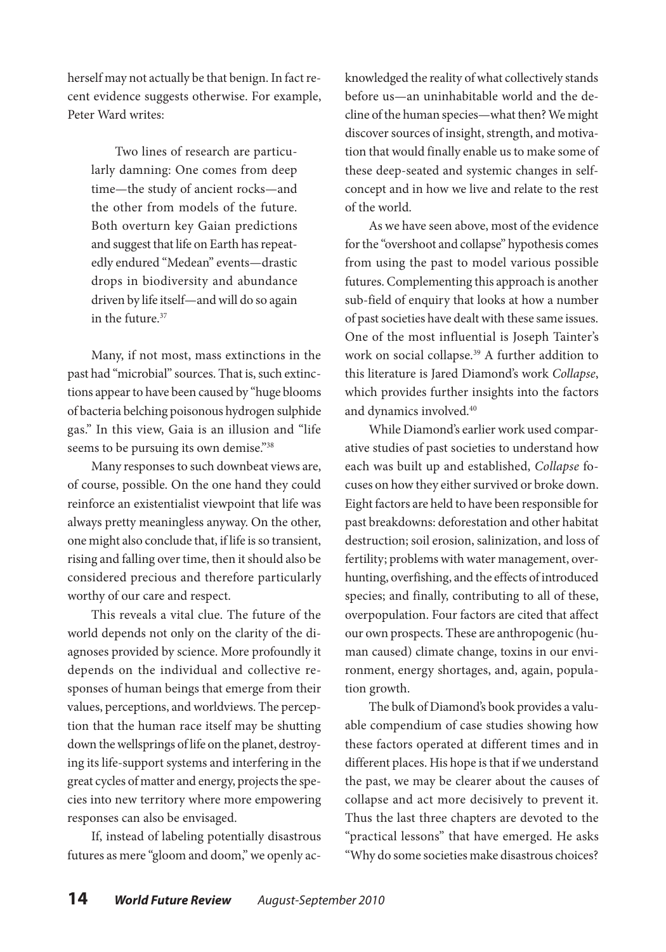herself may not actually be that benign. In fact recent evidence suggests otherwise. For example, Peter Ward writes:

Two lines of research are particularly damning: One comes from deep time—the study of ancient rocks—and the other from models of the future. Both overturn key Gaian predictions and suggest that life on Earth has repeatedly endured "Medean" events—drastic drops in biodiversity and abundance driven by life itself—and will do so again in the future  $37$ 

Many, if not most, mass extinctions in the past had "microbial" sources. That is, such extinctions appear to have been caused by "huge blooms of bacteria belching poisonous hydrogen sulphide gas." In this view, Gaia is an illusion and "life seems to be pursuing its own demise."<sup>38</sup>

Many responses to such downbeat views are, of course, possible. On the one hand they could reinforce an existentialist viewpoint that life was always pretty meaningless anyway. On the other, one might also conclude that, if life is so transient, rising and falling over time, then it should also be considered precious and therefore particularly worthy of our care and respect.

This reveals a vital clue. The future of the world depends not only on the clarity of the diagnoses provided by science. More profoundly it depends on the individual and collective responses of human beings that emerge from their values, perceptions, and worldviews. The perception that the human race itself may be shutting down the wellsprings of life on the planet, destroying its life-support systems and interfering in the great cycles of matter and energy, projects the species into new territory where more empowering responses can also be envisaged.

If, instead of labeling potentially disastrous futures as mere "gloom and doom," we openly acknowledged the reality of what collectively stands before us—an uninhabitable world and the decline of the human species—what then? We might discover sources of insight, strength, and motivation that would finally enable us to make some of these deep-seated and systemic changes in selfconcept and in how we live and relate to the rest of the world.

As we have seen above, most of the evidence for the "overshoot and collapse" hypothesis comes from using the past to model various possible futures. Complementing this approach is another sub-field of enquiry that looks at how a number of past societies have dealt with these same issues. One of the most influential is Joseph Tainter's work on social collapse.<sup>39</sup> A further addition to this literature is Jared Diamond's work *Collapse*, which provides further insights into the factors and dynamics involved.<sup>40</sup>

While Diamond's earlier work used comparative studies of past societies to understand how each was built up and established, *Collapse* focuses on how they either survived or broke down. Eight factors are held to have been responsible for past breakdowns: deforestation and other habitat destruction; soil erosion, salinization, and loss of fertility; problems with water management, overhunting, overfishing, and the effects of introduced species; and finally, contributing to all of these, overpopulation. Four factors are cited that affect our own prospects. These are anthropogenic (human caused) climate change, toxins in our environment, energy shortages, and, again, population growth.

The bulk of Diamond's book provides a valuable compendium of case studies showing how these factors operated at different times and in different places. His hope is that if we understand the past, we may be clearer about the causes of collapse and act more decisively to prevent it. Thus the last three chapters are devoted to the "practical lessons" that have emerged. He asks "Why do some societies make disastrous choices?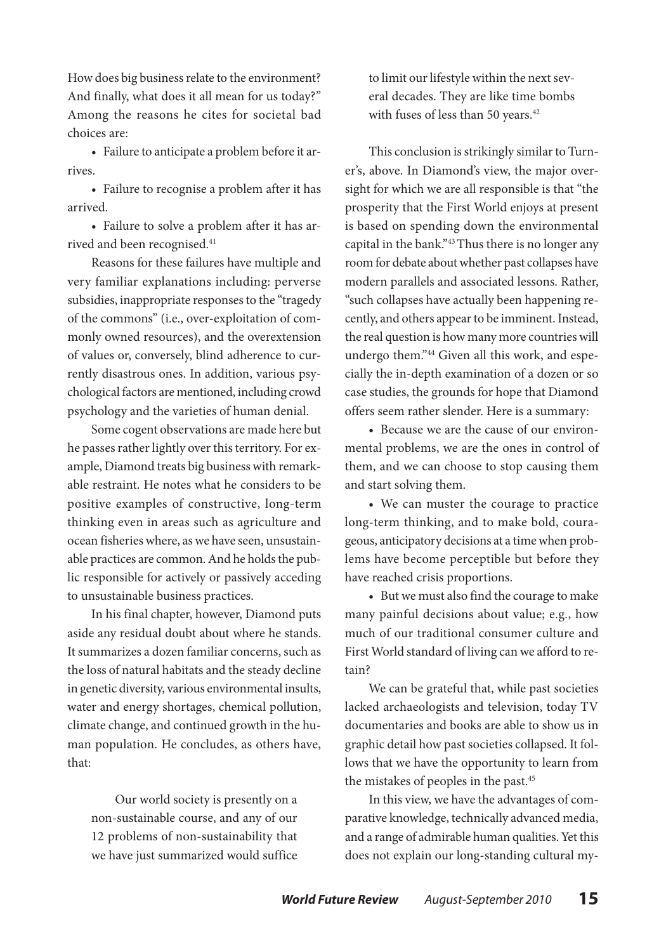How does big business relate to the environment? And finally, what does it all mean for us today?" Among the reasons he cites for societal bad choices are:

• Failure to anticipate a problem before it arrives.

• Failure to recognise a problem after it has arrived.

• Failure to solve a problem after it has arrived and been recognised.<sup>41</sup>

Reasons for these failures have multiple and very familiar explanations including: perverse subsidies, inappropriate responses to the "tragedy of the commons" (i.e., over-exploitation of commonly owned resources), and the overextension of values or, conversely, blind adherence to currently disastrous ones. In addition, various psychological factors are mentioned, including crowd psychology and the varieties of human denial.

Some cogent observations are made here but he passes rather lightly over this territory. For example, Diamond treats big business with remarkable restraint. He notes what he considers to be positive examples of constructive, long-term thinking even in areas such as agriculture and ocean fisheries where, as we have seen, unsustainable practices are common. And he holds the public responsible for actively or passively acceding to unsustainable business practices.

In his final chapter, however, Diamond puts aside any residual doubt about where he stands. It summarizes a dozen familiar concerns, such as the loss of natural habitats and the steady decline in genetic diversity, various environmental insults, water and energy shortages, chemical pollution, climate change, and continued growth in the human population. He concludes, as others have, that:

Our world society is presently on a non-sustainable course, and any of our 12 problems of non-sustainability that we have just summarized would suffice to limit our lifestyle within the next several decades. They are like time bombs with fuses of less than 50 years.<sup>42</sup>

This conclusion is strikingly similar to Turner's, above. In Diamond's view, the major oversight for which we are all responsible is that "the prosperity that the First World enjoys at present is based on spending down the environmental capital in the bank."43 Thus there is no longer any room for debate about whether past collapses have modern parallels and associated lessons. Rather, "such collapses have actually been happening recently, and others appear to be imminent. Instead, the real question is how many more countries will undergo them."44 Given all this work, and especially the in-depth examination of a dozen or so case studies, the grounds for hope that Diamond offers seem rather slender. Here is a summary:

• Because we are the cause of our environmental problems, we are the ones in control of them, and we can choose to stop causing them and start solving them.

• We can muster the courage to practice long-term thinking, and to make bold, courageous, anticipatory decisions at a time when problems have become perceptible but before they have reached crisis proportions.

• But we must also find the courage to make many painful decisions about value; e.g., how much of our traditional consumer culture and First World standard of living can we afford to retain?

We can be grateful that, while past societies lacked archaeologists and television, today TV documentaries and books are able to show us in graphic detail how past societies collapsed. It follows that we have the opportunity to learn from the mistakes of peoples in the past.45

In this view, we have the advantages of comparative knowledge, technically advanced media, and a range of admirable human qualities. Yet this does not explain our long-standing cultural my-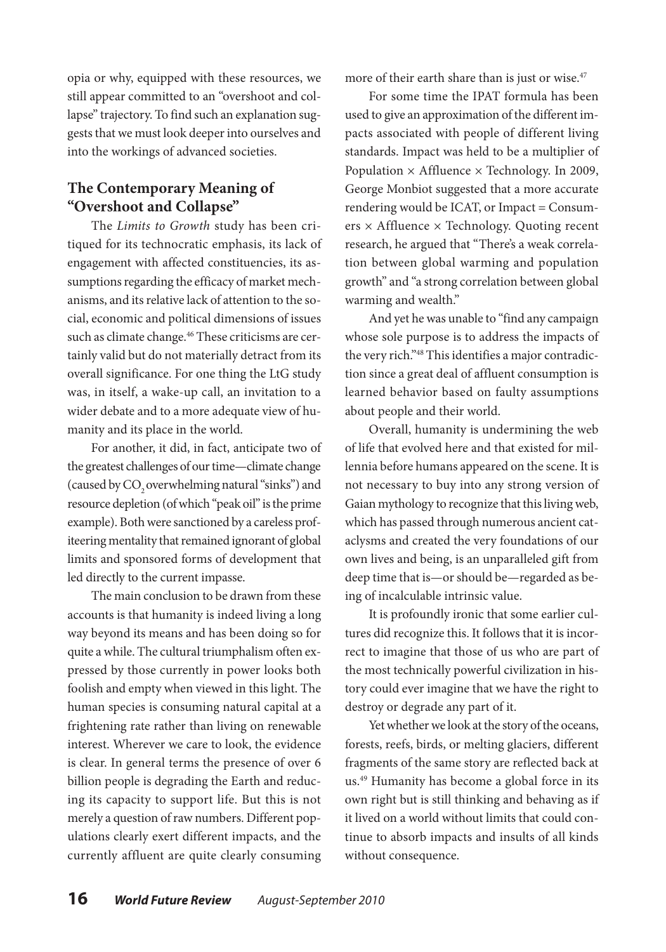opia or why, equipped with these resources, we still appear committed to an "overshoot and collapse" trajectory. To find such an explanation suggests that we must look deeper into ourselves and into the workings of advanced societies.

## **The Contemporary Meaning of "Overshoot and Collapse"**

The *Limits to Growth* study has been critiqued for its technocratic emphasis, its lack of engagement with affected constituencies, its assumptions regarding the efficacy of market mechanisms, and its relative lack of attention to the social, economic and political dimensions of issues such as climate change.<sup>46</sup> These criticisms are certainly valid but do not materially detract from its overall significance. For one thing the LtG study was, in itself, a wake-up call, an invitation to a wider debate and to a more adequate view of humanity and its place in the world.

For another, it did, in fact, anticipate two of the greatest challenges of our time—climate change (caused by CO<sub>2</sub> overwhelming natural "sinks") and resource depletion (of which "peak oil" is the prime example). Both were sanctioned by a careless profiteering mentality that remained ignorant of global limits and sponsored forms of development that led directly to the current impasse.

The main conclusion to be drawn from these accounts is that humanity is indeed living a long way beyond its means and has been doing so for quite a while. The cultural triumphalism often expressed by those currently in power looks both foolish and empty when viewed in this light. The human species is consuming natural capital at a frightening rate rather than living on renewable interest. Wherever we care to look, the evidence is clear. In general terms the presence of over 6 billion people is degrading the Earth and reducing its capacity to support life. But this is not merely a question of raw numbers. Different populations clearly exert different impacts, and the currently affluent are quite clearly consuming more of their earth share than is just or wise.<sup>47</sup>

For some time the IPAT formula has been used to give an approximation of the different impacts associated with people of different living standards. Impact was held to be a multiplier of Population  $\times$  Affluence  $\times$  Technology. In 2009, George Monbiot suggested that a more accurate rendering would be ICAT, or Impact = Consumers × Affluence × Technology. Quoting recent research, he argued that "There's a weak correlation between global warming and population growth" and "a strong correlation between global warming and wealth."

And yet he was unable to "find any campaign whose sole purpose is to address the impacts of the very rich."48 This identifies a major contradiction since a great deal of affluent consumption is learned behavior based on faulty assumptions about people and their world.

Overall, humanity is undermining the web of life that evolved here and that existed for millennia before humans appeared on the scene. It is not necessary to buy into any strong version of Gaian mythology to recognize that this living web, which has passed through numerous ancient cataclysms and created the very foundations of our own lives and being, is an unparalleled gift from deep time that is—or should be—regarded as being of incalculable intrinsic value.

It is profoundly ironic that some earlier cultures did recognize this. It follows that it is incorrect to imagine that those of us who are part of the most technically powerful civilization in history could ever imagine that we have the right to destroy or degrade any part of it.

Yet whether we look at the story of the oceans, forests, reefs, birds, or melting glaciers, different fragments of the same story are reflected back at us.49 Humanity has become a global force in its own right but is still thinking and behaving as if it lived on a world without limits that could continue to absorb impacts and insults of all kinds without consequence.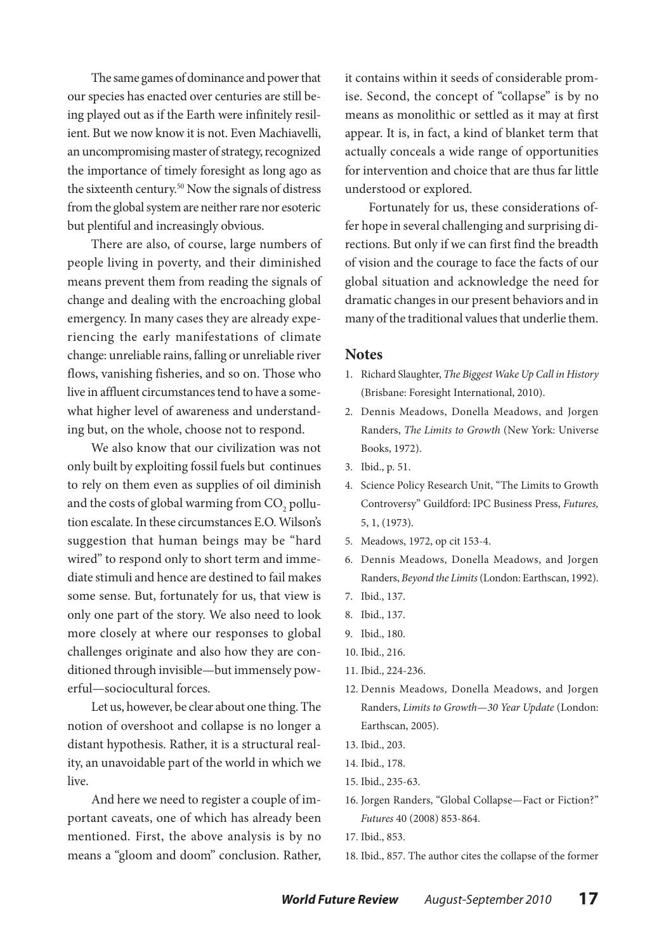The same games of dominance and power that our species has enacted over centuries are still being played out as if the Earth were infinitely resilient. But we now know it is not. Even Machiavelli, an uncompromising master of strategy, recognized the importance of timely foresight as long ago as the sixteenth century.<sup>50</sup> Now the signals of distress from the global system are neither rare nor esoteric but plentiful and increasingly obvious.

There are also, of course, large numbers of people living in poverty, and their diminished means prevent them from reading the signals of change and dealing with the encroaching global emergency. In many cases they are already experiencing the early manifestations of climate change: unreliable rains, falling or unreliable river flows, vanishing fisheries, and so on. Those who live in affluent circumstances tend to have a somewhat higher level of awareness and understanding but, on the whole, choose not to respond.

We also know that our civilization was not only built by exploiting fossil fuels but continues to rely on them even as supplies of oil diminish and the costs of global warming from  $\mathrm{CO}_2$  pollution escalate. In these circumstances E.O. Wilson's suggestion that human beings may be "hard wired" to respond only to short term and immediate stimuli and hence are destined to fail makes some sense. But, fortunately for us, that view is only one part of the story. We also need to look more closely at where our responses to global challenges originate and also how they are conditioned through invisible—but immensely powerful—sociocultural forces.

Let us, however, be clear about one thing. The notion of overshoot and collapse is no longer a distant hypothesis. Rather, it is a structural reality, an unavoidable part of the world in which we live.

And here we need to register a couple of important caveats, one of which has already been mentioned. First, the above analysis is by no means a "gloom and doom" conclusion. Rather,

it contains within it seeds of considerable promise. Second, the concept of "collapse" is by no means as monolithic or settled as it may at first appear. It is, in fact, a kind of blanket term that actually conceals a wide range of opportunities for intervention and choice that are thus far little understood or explored.

Fortunately for us, these considerations offer hope in several challenging and surprising directions. But only if we can first find the breadth of vision and the courage to face the facts of our global situation and acknowledge the need for dramatic changes in our present behaviors and in many of the traditional values that underlie them.

#### **Notes**

- 1. Richard Slaughter, *The Biggest Wake Up Call in History* (Brisbane: Foresight International, 2010).
- 2. Dennis Meadows, Donella Meadows, and Jorgen Randers, *The Limits to Growth* (New York: Universe Books, 1972).
- 3. Ibid., p. 51.
- 4. Science Policy Research Unit, "The Limits to Growth Controversy" Guildford: IPC Business Press, *Futures,* 5, 1, (1973).
- 5. Meadows, 1972, op cit 153-4.
- 6. Dennis Meadows, Donella Meadows, and Jorgen Randers, *Beyond the Limits* (London: Earthscan, 1992).
- 7. Ibid., 137.
- 8. Ibid., 137.
- 9. Ibid., 180.
- 10. Ibid., 216.
- 11. Ibid., 224-236.
- 12. Dennis Meadows, Donella Meadows, and Jorgen Randers, *Limits to Growth—30 Year Update* (London: Earthscan, 2005).
- 13. Ibid., 203.
- 14. Ibid., 178.
- 15. Ibid., 235-63.
- 16. Jorgen Randers, "Global Collapse—Fact or Fiction?" *Futures* 40 (2008) 853-864.
- 17. Ibid., 853.
- 18. Ibid., 857. The author cites the collapse of the former